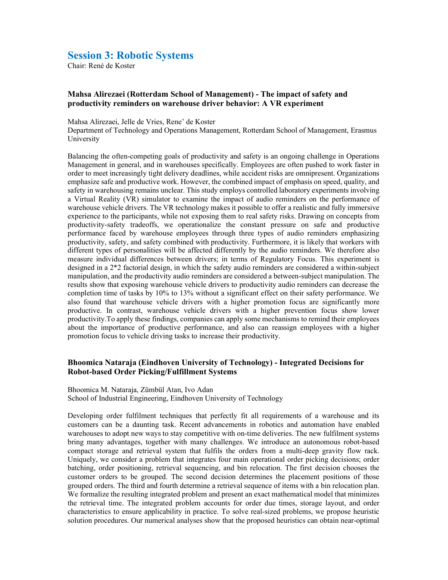## Session 3: Robotic Systems

Chair: René de Koster

## Mahsa Alirezaei (Rotterdam School of Management) - The impact of safety and productivity reminders on warehouse driver behavior: A VR experiment

Mahsa Alirezaei, Jelle de Vries, Rene' de Koster

Department of Technology and Operations Management, Rotterdam School of Management, Erasmus University

Balancing the often-competing goals of productivity and safety is an ongoing challenge in Operations Management in general, and in warehouses specifically. Employees are often pushed to work faster in order to meet increasingly tight delivery deadlines, while accident risks are omnipresent. Organizations emphasize safe and productive work. However, the combined impact of emphasis on speed, quality, and safety in warehousing remains unclear. This study employs controlled laboratory experiments involving a Virtual Reality (VR) simulator to examine the impact of audio reminders on the performance of warehouse vehicle drivers. The VR technology makes it possible to offer a realistic and fully immersive experience to the participants, while not exposing them to real safety risks. Drawing on concepts from productivity-safety tradeoffs, we operationalize the constant pressure on safe and productive performance faced by warehouse employees through three types of audio reminders emphasizing productivity, safety, and safety combined with productivity. Furthermore, it is likely that workers with different types of personalities will be affected differently by the audio reminders. We therefore also measure individual differences between drivers; in terms of Regulatory Focus. This experiment is designed in a 2\*2 factorial design, in which the safety audio reminders are considered a within-subject manipulation, and the productivity audio reminders are considered a between-subject manipulation. The results show that exposing warehouse vehicle drivers to productivity audio reminders can decrease the completion time of tasks by 10% to 13% without a significant effect on their safety performance. We also found that warehouse vehicle drivers with a higher promotion focus are significantly more productive. In contrast, warehouse vehicle drivers with a higher prevention focus show lower productivity.To apply these findings, companies can apply some mechanisms to remind their employees about the importance of productive performance, and also can reassign employees with a higher promotion focus to vehicle driving tasks to increase their productivity.

## Bhoomica Nataraja (Eindhoven University of Technology) - Integrated Decisions for Robot-based Order Picking/Fulfillment Systems

Bhoomica M. Nataraja, Zümbül Atan, Ivo Adan School of Industrial Engineering, Eindhoven University of Technology

Developing order fulfilment techniques that perfectly fit all requirements of a warehouse and its customers can be a daunting task. Recent advancements in robotics and automation have enabled warehouses to adopt new ways to stay competitive with on-time deliveries. The new fulfilment systems bring many advantages, together with many challenges. We introduce an autonomous robot-based compact storage and retrieval system that fulfils the orders from a multi-deep gravity flow rack. Uniquely, we consider a problem that integrates four main operational order picking decisions; order batching, order positioning, retrieval sequencing, and bin relocation. The first decision chooses the customer orders to be grouped. The second decision determines the placement positions of those grouped orders. The third and fourth determine a retrieval sequence of items with a bin relocation plan. We formalize the resulting integrated problem and present an exact mathematical model that minimizes the retrieval time. The integrated problem accounts for order due times, storage layout, and order characteristics to ensure applicability in practice. To solve real-sized problems, we propose heuristic solution procedures. Our numerical analyses show that the proposed heuristics can obtain near-optimal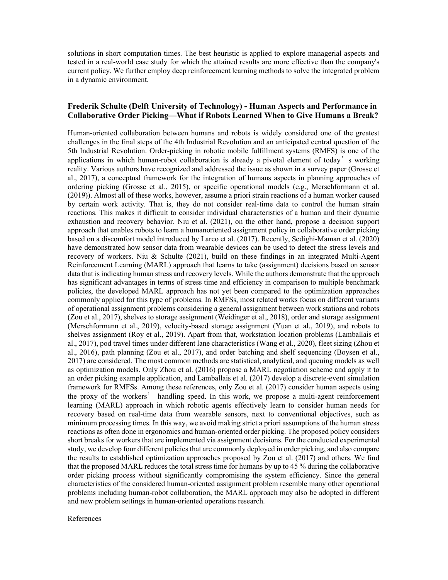solutions in short computation times. The best heuristic is applied to explore managerial aspects and tested in a real-world case study for which the attained results are more effective than the company's current policy. We further employ deep reinforcement learning methods to solve the integrated problem in a dynamic environment.

## Frederik Schulte (Delft University of Technology) - Human Aspects and Performance in Collaborative Order Picking—What if Robots Learned When to Give Humans a Break?

Human-oriented collaboration between humans and robots is widely considered one of the greatest challenges in the final steps of the 4th Industrial Revolution and an anticipated central question of the 5th Industrial Revolution. Order-picking in robotic mobile fulfillment systems (RMFS) is one of the applications in which human-robot collaboration is already a pivotal element of today's working reality. Various authors have recognized and addressed the issue as shown in a survey paper (Grosse et al., 2017), a conceptual framework for the integration of humans aspects in planning approaches of ordering picking (Grosse et al., 2015), or specific operational models (e.g., Merschformann et al. (2019)). Almost all of these works, however, assume a priori strain reactions of a human worker caused by certain work activity. That is, they do not consider real-time data to control the human strain reactions. This makes it difficult to consider individual characteristics of a human and their dynamic exhaustion and recovery behavior. Niu et al. (2021), on the other hand, propose a decision support approach that enables robots to learn a humanoriented assignment policy in collaborative order picking based on a discomfort model introduced by Larco et al. (2017). Recently, Sedighi-Maman et al. (2020) have demonstrated how sensor data from wearable devices can be used to detect the stress levels and recovery of workers. Niu & Schulte (2021), build on these findings in an integrated Multi-Agent Reinforcement Learning (MARL) approach that learns to take (assignment) decisions based on sensor data that is indicating human stress and recovery levels. While the authors demonstrate that the approach has significant advantages in terms of stress time and efficiency in comparison to multiple benchmark policies, the developed MARL approach has not yet been compared to the optimization approaches commonly applied for this type of problems. In RMFSs, most related works focus on different variants of operational assignment problems considering a general assignment between work stations and robots (Zou et al., 2017), shelves to storage assignment (Weidinger et al., 2018), order and storage assignment (Merschformann et al., 2019), velocity-based storage assignment (Yuan et al., 2019), and robots to shelves assignment (Roy et al., 2019). Apart from that, workstation location problems (Lamballais et al., 2017), pod travel times under different lane characteristics (Wang et al., 2020), fleet sizing (Zhou et al., 2016), path planning (Zou et al., 2017), and order batching and shelf sequencing (Boysen et al., 2017) are considered. The most common methods are statistical, analytical, and queuing models as well as optimization models. Only Zhou et al. (2016) propose a MARL negotiation scheme and apply it to an order picking example application, and Lamballais et al. (2017) develop a discrete-event simulation framework for RMFSs. Among these references, only Zou et al. (2017) consider human aspects using the proxy of the workers' handling speed. In this work, we propose a multi-agent reinforcement learning (MARL) approach in which robotic agents effectively learn to consider human needs for recovery based on real-time data from wearable sensors, next to conventional objectives, such as minimum processing times. In this way, we avoid making strict a priori assumptions of the human stress reactions as often done in ergonomics and human-oriented order picking. The proposed policy considers short breaks for workers that are implemented via assignment decisions. For the conducted experimental study, we develop four different policies that are commonly deployed in order picking, and also compare the results to established optimization approaches proposed by Zou et al. (2017) and others. We find that the proposed MARL reduces the total stress time for humans by up to 45 % during the collaborative order picking process without significantly compromising the system efficiency. Since the general characteristics of the considered human-oriented assignment problem resemble many other operational problems including human-robot collaboration, the MARL approach may also be adopted in different and new problem settings in human-oriented operations research.